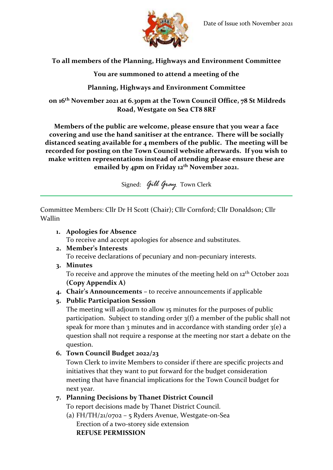

## **To all members of the Planning, Highways and Environment Committee**

**You are summoned to attend a meeting of the**

## **Planning, Highways and Environment Committee**

**on 16th November 2021 at 6.30pm at the Town Council Office, 78 St Mildreds Road, Westgate on Sea CT8 8RF**

**Members of the public are welcome, please ensure that you wear a face covering and use the hand sanitiser at the entrance. There will be socially distanced seating available for 4 members of the public. The meeting will be recorded for posting on the Town Council website afterwards. If you wish to make written representations instead of attending please ensure these are emailed by 4pm on Friday 12th November 2021.**

Signed: *Gill Gray* Town Clerk

Committee Members: Cllr Dr H Scott (Chair); Cllr Cornford; Cllr Donaldson; Cllr Wallin

#### **1. Apologies for Absence**

To receive and accept apologies for absence and substitutes.

#### **2. Member's Interests**

To receive declarations of pecuniary and non-pecuniary interests.

**3. Minutes**

To receive and approve the minutes of the meeting held on 12<sup>th</sup> October 2021 **(Copy Appendix A)**

**4. Chair's Announcements –** to receive announcements if applicable

#### **5. Public Participation Session**

The meeting will adjourn to allow 15 minutes for the purposes of public participation. Subject to standing order 3(f) a member of the public shall not speak for more than 3 minutes and in accordance with standing order  $3(e)$  a question shall not require a response at the meeting nor start a debate on the question.

**6. Town Council Budget 2022/23**

Town Clerk to invite Members to consider if there are specific projects and initiatives that they want to put forward for the budget consideration meeting that have financial implications for the Town Council budget for next year.

## **7. Planning Decisions by Thanet District Council**

To report decisions made by Thanet District Council.

(a) FH/TH/21/0702 – 5 Ryders Avenue, Westgate-on-Sea Erection of a two-storey side extension **REFUSE PERMISSION**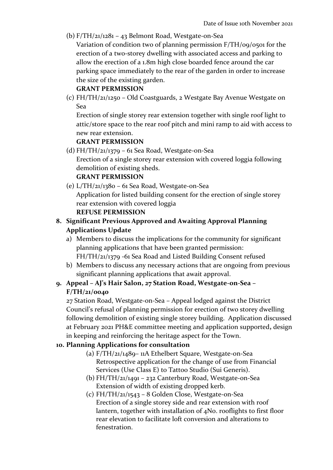(b)  $F/TH/21/1281 - 43$  Belmont Road, Westgate-on-Sea

Variation of condition two of planning permission F/TH/09/0501 for the erection of a two-storey dwelling with associated access and parking to allow the erection of a 1.8m high close boarded fence around the car parking space immediately to the rear of the garden in order to increase the size of the existing garden.

#### **GRANT PERMISSION**

(c) FH/TH/21/1250 – Old Coastguards, 2 Westgate Bay Avenue Westgate on Sea

Erection of single storey rear extension together with single roof light to attic/store space to the rear roof pitch and mini ramp to aid with access to new rear extension.

#### **GRANT PERMISSION**

(d) FH/TH/21/1379 – 61 Sea Road, Westgate-on-Sea Erection of a single storey rear extension with covered loggia following demolition of existing sheds. **GRANT PERMISSION**

# (e) L/TH/21/1380 – 61 Sea Road, Westgate-on-Sea Application for listed building consent for the erection of single storey rear extension with covered loggia

#### **REFUSE PERMISSION**

## **8. Significant Previous Approved and Awaiting Approval Planning Applications Update**

- a) Members to discuss the implications for the community for significant planning applications that have been granted permission: FH/TH/21/1379 -61 Sea Road and Listed Building Consent refused
- b) Members to discuss any necessary actions that are ongoing from previous significant planning applications that await approval.

## **9. Appeal – AJ's Hair Salon, 27 Station Road, Westgate-on-Sea – F/TH/21/0040**

27 Station Road, Westgate-on-Sea – Appeal lodged against the District Council's refusal of planning permission for erection of two storey dwelling following demolition of existing single storey building. Application discussed at February 2021 PH&E committee meeting and application supported**,** design in keeping and reinforcing the heritage aspect for the Town.

#### **10. Planning Applications for consultation**

- (a) F/TH/21/1489– 11A Ethelbert Square, Westgate-on-Sea Retrospective application for the change of use from Financial Services (Use Class E) to Tattoo Studio (Sui Generis).
- (b) FH/TH/21/1491 232 Canterbury Road, Westgate-on-Sea Extension of width of existing dropped kerb.
- (c) FH/TH/21/1543 8 Golden Close, Westgate-on-Sea Erection of a single storey side and rear extension with roof lantern, together with installation of 4No. rooflights to first floor rear elevation to facilitate loft conversion and alterations to fenestration.